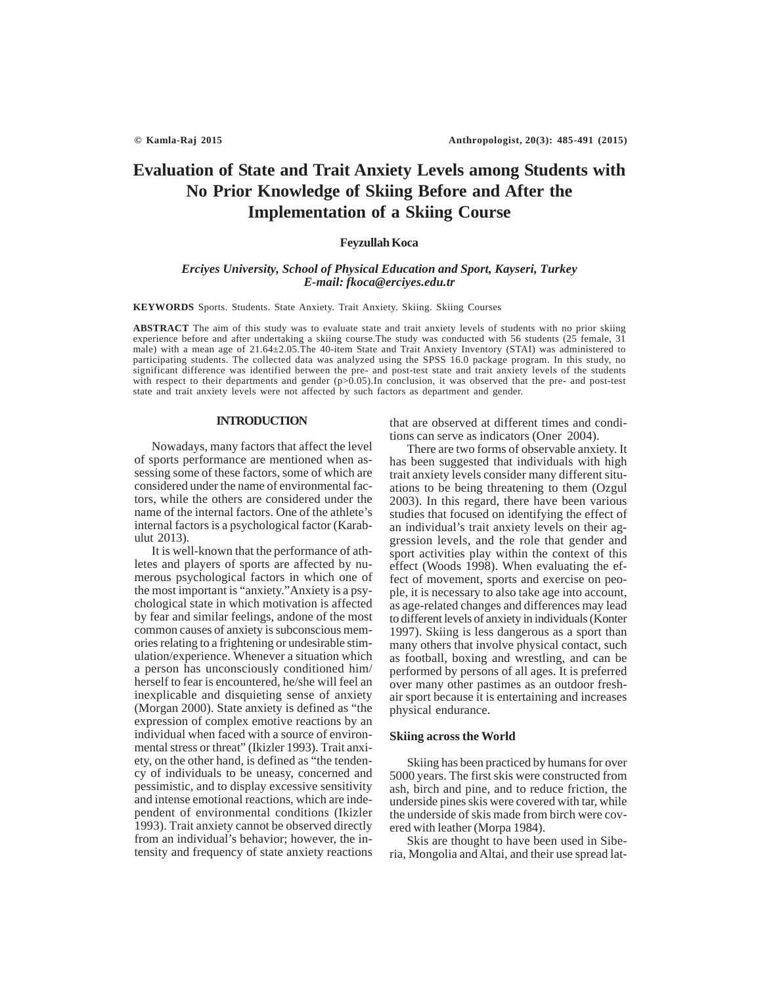# **Evaluation of State and Trait Anxiety Levels among Students with No Prior Knowledge of Skiing Before and After the Implementation of a Skiing Course**

## **Feyzullah Koca**

## *Erciyes University, School of Physical Education and Sport, Kayseri, Turkey E-mail: fkoca@erciyes.edu.tr*

**KEYWORDS** Sports. Students. State Anxiety. Trait Anxiety. Skiing. Skiing Courses

**ABSTRACT** The aim of this study was to evaluate state and trait anxiety levels of students with no prior skiing experience before and after undertaking a skiing course.The study was conducted with 56 students (25 female, 31 male) with a mean age of 21.64±2.05.The 40-item State and Trait Anxiety Inventory (STAI) was administered to participating students. The collected data was analyzed using the SPSS 16.0 package program. In this study, no significant difference was identified between the pre- and post-test state and trait anxiety levels of the students with respect to their departments and gender  $(p>0.05)$ . In conclusion, it was observed that the pre- and post-test state and trait anxiety levels were not affected by such factors as department and gender.

## **INTRODUCTION**

Nowadays, many factors that affect the level of sports performance are mentioned when assessing some of these factors, some of which are considered under the name of environmental factors, while the others are considered under the name of the internal factors. One of the athlete's internal factors is a psychological factor (Karabulut 2013).

It is well-known that the performance of athletes and players of sports are affected by numerous psychological factors in which one of the most important is "anxiety."Anxiety is a psychological state in which motivation is affected by fear and similar feelings, andone of the most common causes of anxiety is subconscious memories relating to a frightening or undesirable stimulation/experience. Whenever a situation which a person has unconsciously conditioned him/ herself to fear is encountered, he/she will feel an inexplicable and disquieting sense of anxiety (Morgan 2000). State anxiety is defined as "the expression of complex emotive reactions by an individual when faced with a source of environmental stress or threat" (Ikizler 1993). Trait anxiety, on the other hand, is defined as "the tendency of individuals to be uneasy, concerned and pessimistic, and to display excessive sensitivity and intense emotional reactions, which are independent of environmental conditions (Ikizler 1993). Trait anxiety cannot be observed directly from an individual's behavior; however, the intensity and frequency of state anxiety reactions

that are observed at different times and conditions can serve as indicators (Oner 2004).

There are two forms of observable anxiety. It has been suggested that individuals with high trait anxiety levels consider many different situations to be being threatening to them (Ozgul 2003). In this regard, there have been various studies that focused on identifying the effect of an individual's trait anxiety levels on their aggression levels, and the role that gender and sport activities play within the context of this effect (Woods 1998). When evaluating the effect of movement, sports and exercise on people, it is necessary to also take age into account, as age-related changes and differences may lead to different levels of anxiety in individuals (Konter 1997). Skiing is less dangerous as a sport than many others that involve physical contact, such as football, boxing and wrestling, and can be performed by persons of all ages. It is preferred over many other pastimes as an outdoor freshair sport because it is entertaining and increases physical endurance.

## **Skiing across the World**

Skiing has been practiced by humans for over 5000 years. The first skis were constructed from ash, birch and pine, and to reduce friction, the underside pines skis were covered with tar, while the underside of skis made from birch were covered with leather (Morpa 1984).

Skis are thought to have been used in Siberia, Mongolia and Altai, and their use spread lat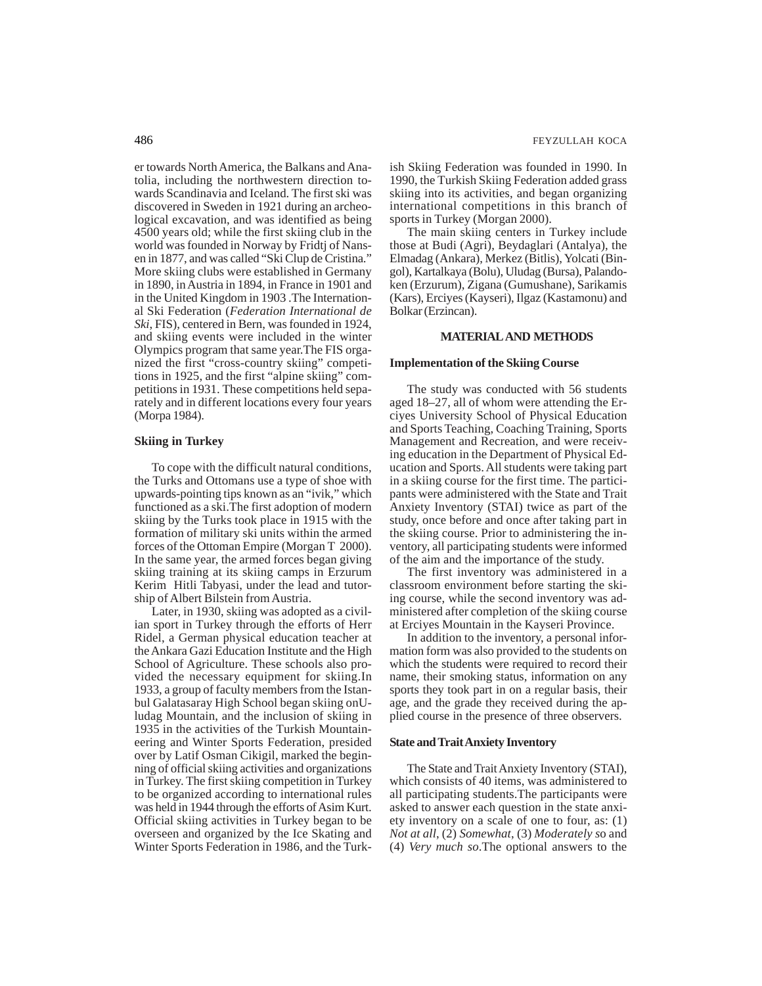er towards North America, the Balkans and Anatolia, including the northwestern direction towards Scandinavia and Iceland. The first ski was discovered in Sweden in 1921 during an archeological excavation, and was identified as being 4500 years old; while the first skiing club in the world was founded in Norway by Fridtj of Nansen in 1877, and was called "Ski Clup de Cristina." More skiing clubs were established in Germany in 1890, in Austria in 1894, in France in 1901 and in the United Kingdom in 1903 .The International Ski Federation (*Federation International de Ski*, FIS), centered in Bern, was founded in 1924, and skiing events were included in the winter Olympics program that same year.The FIS organized the first "cross-country skiing" competitions in 1925, and the first "alpine skiing" competitions in 1931. These competitions held separately and in different locations every four years (Morpa 1984).

## **Skiing in Turkey**

To cope with the difficult natural conditions, the Turks and Ottomans use a type of shoe with upwards-pointing tips known as an "ivik," which functioned as a ski.The first adoption of modern skiing by the Turks took place in 1915 with the formation of military ski units within the armed forces of the Ottoman Empire (Morgan T 2000). In the same year, the armed forces began giving skiing training at its skiing camps in Erzurum Kerim Hitli Tabyasi, under the lead and tutorship of Albert Bilstein from Austria.

Later, in 1930, skiing was adopted as a civilian sport in Turkey through the efforts of Herr Ridel, a German physical education teacher at the Ankara Gazi Education Institute and the High School of Agriculture. These schools also provided the necessary equipment for skiing.In 1933, a group of faculty members from the Istanbul Galatasaray High School began skiing onUludag Mountain, and the inclusion of skiing in 1935 in the activities of the Turkish Mountaineering and Winter Sports Federation, presided over by Latif Osman Cikigil, marked the beginning of official skiing activities and organizations in Turkey. The first skiing competition in Turkey to be organized according to international rules was held in 1944 through the efforts of Asim Kurt. Official skiing activities in Turkey began to be overseen and organized by the Ice Skating and Winter Sports Federation in 1986, and the Turkish Skiing Federation was founded in 1990. In 1990, the Turkish Skiing Federation added grass skiing into its activities, and began organizing international competitions in this branch of sports in Turkey (Morgan 2000).

The main skiing centers in Turkey include those at Budi (Agri), Beydaglari (Antalya), the Elmadag (Ankara), Merkez (Bitlis), Yolcati (Bingol), Kartalkaya (Bolu), Uludag (Bursa), Palandoken (Erzurum), Zigana (Gumushane), Sarikamis (Kars), Erciyes (Kayseri), Ilgaz (Kastamonu) and Bolkar (Erzincan).

## **MATERIAL AND METHODS**

## **Implementation of the Skiing Course**

The study was conducted with 56 students aged 18–27, all of whom were attending the Erciyes University School of Physical Education and Sports Teaching, Coaching Training, Sports Management and Recreation, and were receiving education in the Department of Physical Education and Sports. All students were taking part in a skiing course for the first time. The participants were administered with the State and Trait Anxiety Inventory (STAI) twice as part of the study, once before and once after taking part in the skiing course. Prior to administering the inventory, all participating students were informed of the aim and the importance of the study.

The first inventory was administered in a classroom environment before starting the skiing course, while the second inventory was administered after completion of the skiing course at Erciyes Mountain in the Kayseri Province.

In addition to the inventory, a personal information form was also provided to the students on which the students were required to record their name, their smoking status, information on any sports they took part in on a regular basis, their age, and the grade they received during the applied course in the presence of three observers.

#### **State and Trait Anxiety Inventory**

The State and Trait Anxiety Inventory (STAI), which consists of 40 items, was administered to all participating students.The participants were asked to answer each question in the state anxiety inventory on a scale of one to four, as: (1) *Not at all*, (2) *Somewhat*, (3) *Moderately s*o and (4) *Very much so*.The optional answers to the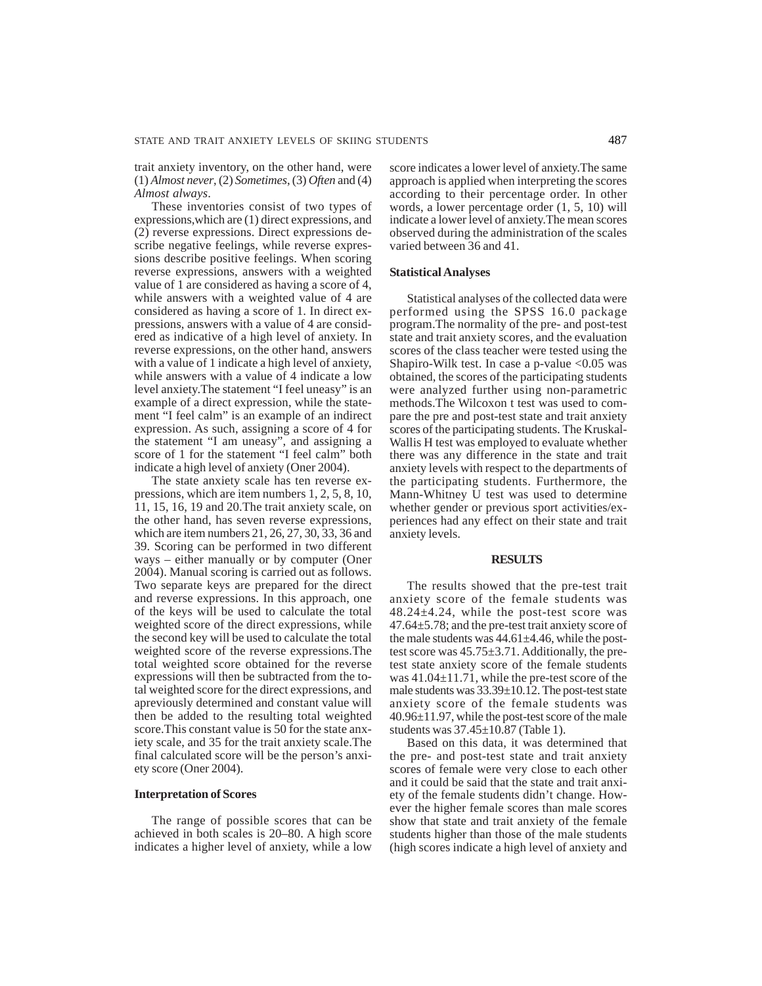trait anxiety inventory, on the other hand, were (1) *Almost never*, (2) *Sometimes*, (3) *Often* and (4) *Almost always*.

These inventories consist of two types of expressions,which are (1) direct expressions, and (2) reverse expressions. Direct expressions describe negative feelings, while reverse expressions describe positive feelings. When scoring reverse expressions, answers with a weighted value of 1 are considered as having a score of 4, while answers with a weighted value of 4 are considered as having a score of 1. In direct expressions, answers with a value of 4 are considered as indicative of a high level of anxiety. In reverse expressions, on the other hand, answers with a value of 1 indicate a high level of anxiety, while answers with a value of 4 indicate a low level anxiety.The statement "I feel uneasy" is an example of a direct expression, while the statement "I feel calm" is an example of an indirect expression. As such, assigning a score of 4 for the statement "I am uneasy", and assigning a score of 1 for the statement "I feel calm" both indicate a high level of anxiety (Oner 2004).

The state anxiety scale has ten reverse expressions, which are item numbers 1, 2, 5, 8, 10, 11, 15, 16, 19 and 20.The trait anxiety scale, on the other hand, has seven reverse expressions, which are item numbers 21, 26, 27, 30, 33, 36 and 39. Scoring can be performed in two different ways – either manually or by computer (Oner 2004). Manual scoring is carried out as follows. Two separate keys are prepared for the direct and reverse expressions. In this approach, one of the keys will be used to calculate the total weighted score of the direct expressions, while the second key will be used to calculate the total weighted score of the reverse expressions.The total weighted score obtained for the reverse expressions will then be subtracted from the total weighted score for the direct expressions, and apreviously determined and constant value will then be added to the resulting total weighted score.This constant value is 50 for the state anxiety scale, and 35 for the trait anxiety scale.The final calculated score will be the person's anxiety score (Oner 2004).

#### **Interpretation of Scores**

The range of possible scores that can be achieved in both scales is 20–80. A high score indicates a higher level of anxiety, while a low

score indicates a lower level of anxiety.The same approach is applied when interpreting the scores according to their percentage order. In other words, a lower percentage order (1, 5, 10) will indicate a lower level of anxiety.The mean scores observed during the administration of the scales varied between 36 and 41.

## **Statistical Analyses**

Statistical analyses of the collected data were performed using the SPSS 16.0 package program.The normality of the pre- and post-test state and trait anxiety scores, and the evaluation scores of the class teacher were tested using the Shapiro-Wilk test. In case a p-value  $< 0.05$  was obtained, the scores of the participating students were analyzed further using non-parametric methods.The Wilcoxon t test was used to compare the pre and post-test state and trait anxiety scores of the participating students. The Kruskal-Wallis H test was employed to evaluate whether there was any difference in the state and trait anxiety levels with respect to the departments of the participating students. Furthermore, the Mann-Whitney U test was used to determine whether gender or previous sport activities/experiences had any effect on their state and trait anxiety levels.

### **RESULTS**

The results showed that the pre-test trait anxiety score of the female students was 48.24±4.24, while the post-test score was 47.64±5.78; and the pre-test trait anxiety score of the male students was  $44.61 \pm 4.46$ , while the posttest score was 45.75±3.71. Additionally, the pretest state anxiety score of the female students was 41.04±11.71, while the pre-test score of the male students was 33.39±10.12. The post-test state anxiety score of the female students was 40.96±11.97, while the post-test score of the male students was 37.45±10.87 (Table 1).

Based on this data, it was determined that the pre- and post-test state and trait anxiety scores of female were very close to each other and it could be said that the state and trait anxiety of the female students didn't change. However the higher female scores than male scores show that state and trait anxiety of the female students higher than those of the male students (high scores indicate a high level of anxiety and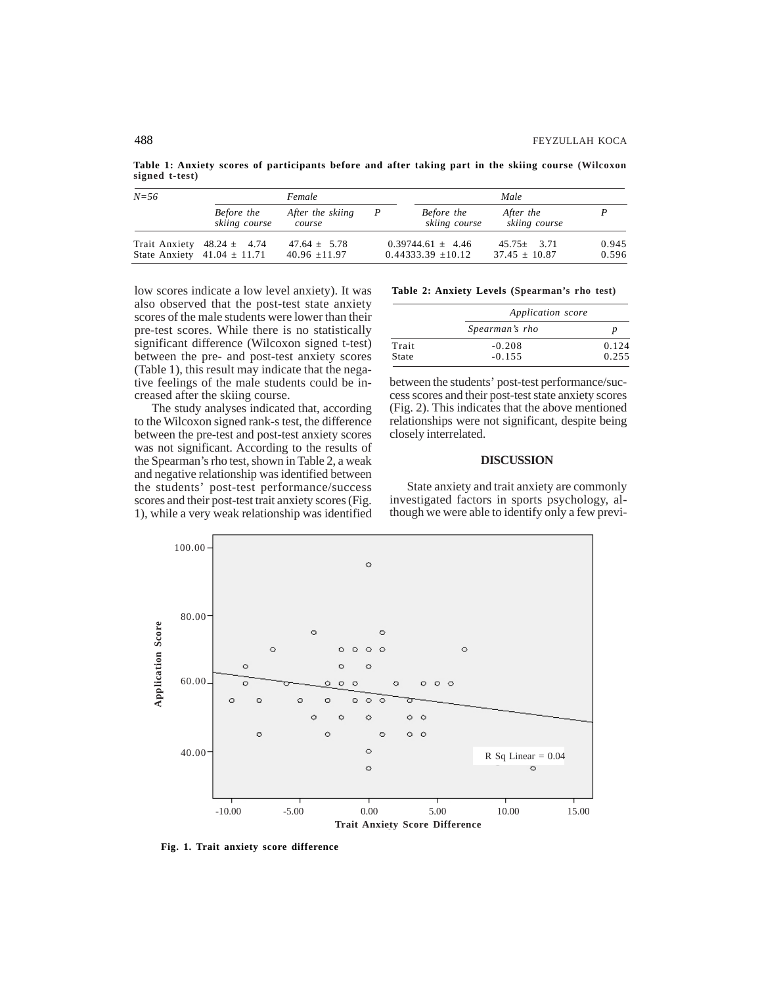**Table 1: Anxiety scores of participants before and after taking part in the skiing course (Wilcoxon signed t-test)**

| $N = 56$ | Female                                                            |                                       |  | Male                                            |                                     |                |
|----------|-------------------------------------------------------------------|---------------------------------------|--|-------------------------------------------------|-------------------------------------|----------------|
|          | Before the<br>skiing course                                       | After the skiing<br>course            |  | Before the<br>skiing course                     | After the<br>skiing course          |                |
|          | Trait Anxiety $48.24 \pm 4.74$<br>State Anxiety $41.04 \pm 11.71$ | $47.64 \pm 5.78$<br>40.96 $\pm$ 11.97 |  | $0.39744.61 \pm 4.46$<br>$0.44333.39 \pm 10.12$ | $45.75 + 3.71$<br>$37.45 \pm 10.87$ | 0.945<br>0.596 |

low scores indicate a low level anxiety). It was also observed that the post-test state anxiety scores of the male students were lower than their pre-test scores. While there is no statistically significant difference (Wilcoxon signed t-test) between the pre- and post-test anxiety scores (Table 1), this result may indicate that the negative feelings of the male students could be increased after the skiing course.

The study analyses indicated that, according to the Wilcoxon signed rank-s test, the difference between the pre-test and post-test anxiety scores was not significant. According to the results of the Spearman's rho test, shown in Table 2, a weak and negative relationship was identified between the students' post-test performance/success scores and their post-test trait anxiety scores (Fig. 1), while a very weak relationship was identified

**Table 2: Anxiety Levels (Spearman's rho test)**

|       | Application score |       |  |  |
|-------|-------------------|-------|--|--|
|       | Spearman's rho    |       |  |  |
| Trait | $-0.208$          | 0.124 |  |  |
| State | $-0.155$          | 0.255 |  |  |

between the students' post-test performance/success scores and their post-test state anxiety scores (Fig. 2). This indicates that the above mentioned relationships were not significant, despite being closely interrelated.

## **DISCUSSION**

State anxiety and trait anxiety are commonly investigated factors in sports psychology, although we were able to identify only a few previ-

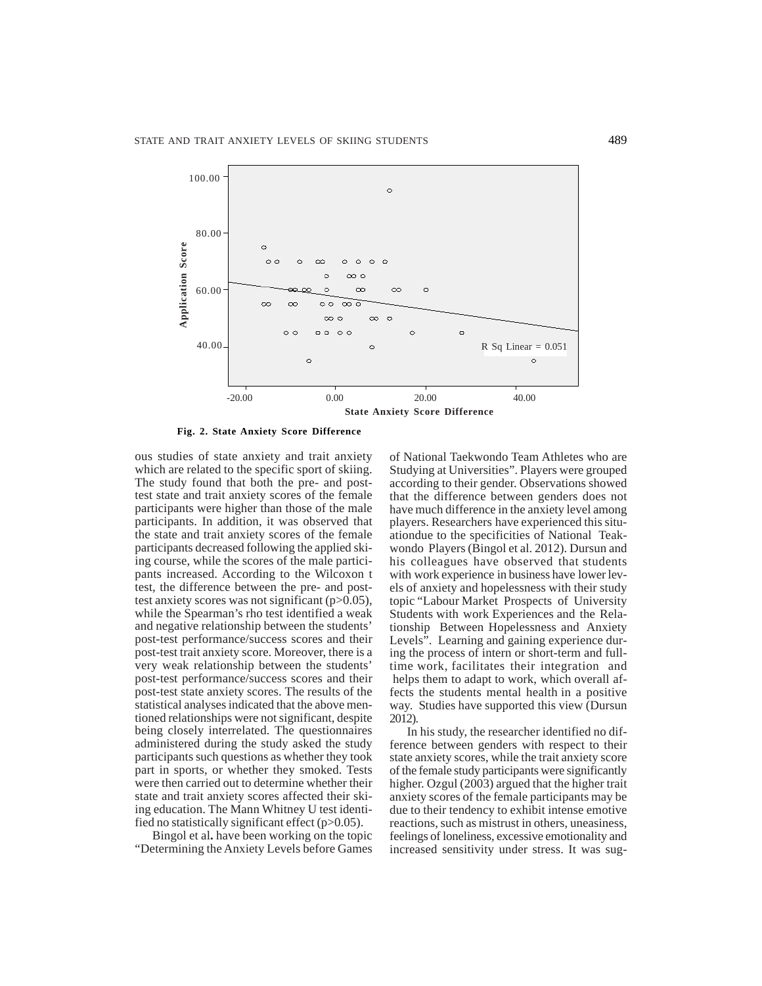

ous studies of state anxiety and trait anxiety which are related to the specific sport of skiing. The study found that both the pre- and posttest state and trait anxiety scores of the female participants were higher than those of the male participants. In addition, it was observed that the state and trait anxiety scores of the female participants decreased following the applied skiing course, while the scores of the male participants increased. According to the Wilcoxon t test, the difference between the pre- and posttest anxiety scores was not significant (p>0.05), while the Spearman's rho test identified a weak and negative relationship between the students' post-test performance/success scores and their post-test trait anxiety score. Moreover, there is a very weak relationship between the students' post-test performance/success scores and their post-test state anxiety scores. The results of the statistical analyses indicated that the above mentioned relationships were not significant, despite being closely interrelated. The questionnaires administered during the study asked the study participants such questions as whether they took part in sports, or whether they smoked. Tests were then carried out to determine whether their state and trait anxiety scores affected their skiing education. The Mann Whitney U test identified no statistically significant effect  $(p>0.05)$ .

Bingol et al**.** have been working on the topic "Determining the Anxiety Levels before Games of National Taekwondo Team Athletes who are Studying at Universities". Players were grouped according to their gender. Observations showed that the difference between genders does not have much difference in the anxiety level among players. Researchers have experienced this situationdue to the specificities of National Teakwondo Players (Bingol et al. 2012). Dursun and his colleagues have observed that students with work experience in business have lower levels of anxiety and hopelessness with their study topic "Labour Market Prospects of University Students with work Experiences and the Relationship Between Hopelessness and Anxiety Levels". Learning and gaining experience during the process of intern or short-term and fulltime work, facilitates their integration and helps them to adapt to work, which overall affects the students mental health in a positive way. Studies have supported this view (Dursun 2012).

In his study, the researcher identified no difference between genders with respect to their state anxiety scores, while the trait anxiety score of the female study participants were significantly higher. Ozgul (2003) argued that the higher trait anxiety scores of the female participants may be due to their tendency to exhibit intense emotive reactions, such as mistrust in others, uneasiness, feelings of loneliness, excessive emotionality and increased sensitivity under stress. It was sug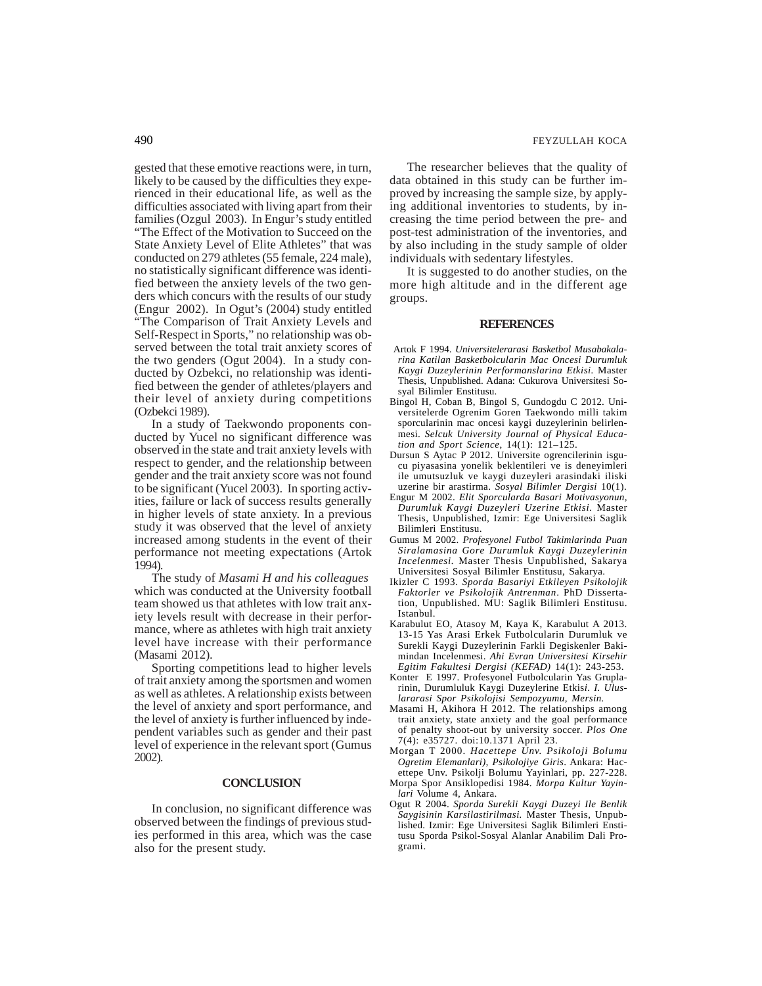gested that these emotive reactions were, in turn, likely to be caused by the difficulties they experienced in their educational life, as well as the difficulties associated with living apart from their families (Ozgul 2003). In Engur's study entitled "The Effect of the Motivation to Succeed on the State Anxiety Level of Elite Athletes" that was conducted on 279 athletes (55 female, 224 male), no statistically significant difference was identified between the anxiety levels of the two genders which concurs with the results of our study (Engur 2002). In Ogut's (2004) study entitled "The Comparison of Trait Anxiety Levels and Self-Respect in Sports," no relationship was observed between the total trait anxiety scores of the two genders (Ogut 2004). In a study conducted by Ozbekci, no relationship was identified between the gender of athletes/players and their level of anxiety during competitions (Ozbekci 1989).

In a study of Taekwondo proponents conducted by Yucel no significant difference was observed in the state and trait anxiety levels with respect to gender, and the relationship between gender and the trait anxiety score was not found to be significant (Yucel 2003). In sporting activities, failure or lack of success results generally in higher levels of state anxiety. In a previous study it was observed that the level of anxiety increased among students in the event of their performance not meeting expectations (Artok 1994).

The study of *Masami H and his colleagues*  which was conducted at the University football team showed us that athletes with low trait anxiety levels result with decrease in their performance, where as athletes with high trait anxiety level have increase with their performance (Masami 2012).

Sporting competitions lead to higher levels of trait anxiety among the sportsmen and women as well as athletes. A relationship exists between the level of anxiety and sport performance, and the level of anxiety is further influenced by independent variables such as gender and their past level of experience in the relevant sport (Gumus 2002).

## **CONCLUSION**

In conclusion, no significant difference was observed between the findings of previous studies performed in this area, which was the case also for the present study.

The researcher believes that the quality of data obtained in this study can be further improved by increasing the sample size, by applying additional inventories to students, by increasing the time period between the pre- and post-test administration of the inventories, and by also including in the study sample of older individuals with sedentary lifestyles.

It is suggested to do another studies, on the more high altitude and in the different age groups.

#### **REFERENCES**

- Artok F 1994. *Universitelerarasi Basketbol Musabakalarina Katilan Basketbolcularin Mac Oncesi Durumluk Kaygi Duzeylerinin Performanslarina Etkisi.* Master Thesis, Unpublished. Adana: Cukurova Universitesi Sosyal Bilimler Enstitusu.
- Bingol H, Coban B, Bingol S, Gundogdu C 2012. Universitelerde Ogrenim Goren Taekwondo milli takim sporcularinin mac oncesi kaygi duzeylerinin belirlenmesi. *Selcuk University Journal of Physical Education and Sport Science*, 14(1): 121–125.
- Dursun S Aytac P 2012. Universite ogrencilerinin isgucu piyasasina yonelik beklentileri ve is deneyimleri ile umutsuzluk ve kaygi duzeyleri arasindaki iliski uzerine bir arastirma. *Sosyal Bilimler Dergisi* 10(1).
- Engur M 2002. *Elit Sporcularda Basari Motivasyonun, Durumluk Kaygi Duzeyleri Uzerine Etkisi.* Master Thesis, Unpublished, Izmir: Ege Universitesi Saglik Bilimleri Enstitusu.
- Gumus M 2002. *Profesyonel Futbol Takimlarinda Puan Siralamasina Gore Durumluk Kaygi Duzeylerinin Incelenmesi.* Master Thesis Unpublished, Sakarya Universitesi Sosyal Bilimler Enstitusu, Sakarya.
- Ikizler C 1993. *Sporda Basariyi Etkileyen Psikolojik Faktorler ve Psikolojik Antrenman*. PhD Dissertation, Unpublished. MU: Saglik Bilimleri Enstitusu. Istanbul.
- Karabulut EO, Atasoy M, Kaya K, Karabulut A 2013. 13-15 Yas Arasi Erkek Futbolcularin Durumluk ve Surekli Kaygi Duzeylerinin Farkli Degiskenler Bakimindan Incelenmesi. *Ahi Evran Universitesi Kirsehir Egitim Fakultesi Dergisi (KEFAD)* 14(1): 243-253.
- Konter E 1997. Profesyonel Futbolcularin Yas Gruplarinin, Durumluluk Kaygi Duzeylerine Etkis*i*. *I. Uluslararasi Spor Psikolojisi Sempozyumu, Mersin.*
- Masami H, Akihora H 2012. The relationships among trait anxiety, state anxiety and the goal performance of penalty shoot-out by university soccer. *Plos One* 7(4): e35727. doi:10.1371 April 23.
- Morgan T 2000. *Hacettepe Unv. Psikoloji Bolumu Ogretim Elemanlari), Psikolojiye Giris*. Ankara: Hacettepe Unv. Psikolji Bolumu Yayinlari, pp. 227-228.
- Morpa Spor Ansiklopedisi 1984. *Morpa Kultur Yayinlari* Volume 4, Ankara.
- Ogut R 2004. *Sporda Surekli Kaygi Duzeyi Ile Benlik Saygisinin Karsilastirilmasi.* Master Thesis, Unpublished. Izmir: Ege Universitesi Saglik Bilimleri Enstitusu Sporda Psikol-Sosyal Alanlar Anabilim Dali Programi.